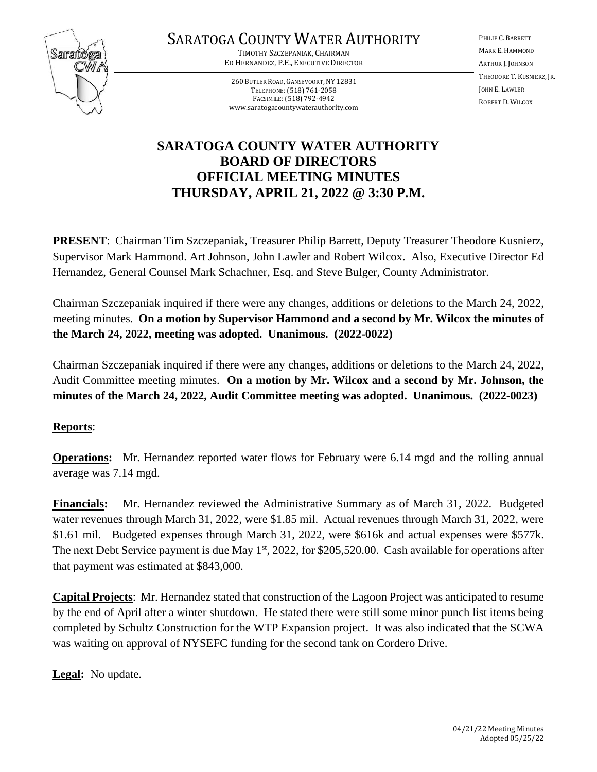

# SARATOGA COUNTY WATER AUTHORITY

TIMOTHY SZCZEPANIAK, CHAIRMAN ED HERNANDEZ, P.E., EXECUTIVE DIRECTOR

260 BUTLER ROAD, GANSEVOORT, NY 12831 TELEPHONE:(518) 761-2058 FACSIMILE:(518) 792-4942 www.saratogacountywaterauthority.com PHILIP C. BARRETT MARK E. HAMMOND ARTHUR J. JOHNSON THEODORE T. KUSNIERZ, JR. JOHN E. LAWLER ROBERT D. WILCOX

## **SARATOGA COUNTY WATER AUTHORITY BOARD OF DIRECTORS OFFICIAL MEETING MINUTES THURSDAY, APRIL 21, 2022 @ 3:30 P.M.**

**PRESENT**: Chairman Tim Szczepaniak, Treasurer Philip Barrett, Deputy Treasurer Theodore Kusnierz, Supervisor Mark Hammond. Art Johnson, John Lawler and Robert Wilcox. Also, Executive Director Ed Hernandez, General Counsel Mark Schachner, Esq. and Steve Bulger, County Administrator.

Chairman Szczepaniak inquired if there were any changes, additions or deletions to the March 24, 2022, meeting minutes. **On a motion by Supervisor Hammond and a second by Mr. Wilcox the minutes of the March 24, 2022, meeting was adopted. Unanimous. (2022-0022)**

Chairman Szczepaniak inquired if there were any changes, additions or deletions to the March 24, 2022, Audit Committee meeting minutes. **On a motion by Mr. Wilcox and a second by Mr. Johnson, the minutes of the March 24, 2022, Audit Committee meeting was adopted. Unanimous. (2022-0023)**

### **Reports**:

**Operations:** Mr. Hernandez reported water flows for February were 6.14 mgd and the rolling annual average was 7.14 mgd.

**Financials:** Mr. Hernandez reviewed the Administrative Summary as of March 31, 2022. Budgeted water revenues through March 31, 2022, were \$1.85 mil. Actual revenues through March 31, 2022, were \$1.61 mil. Budgeted expenses through March 31, 2022, were \$616k and actual expenses were \$577k. The next Debt Service payment is due May 1<sup>st</sup>, 2022, for \$205,520.00. Cash available for operations after that payment was estimated at \$843,000.

**Capital Projects**: Mr. Hernandez stated that construction of the Lagoon Project was anticipated to resume by the end of April after a winter shutdown. He stated there were still some minor punch list items being completed by Schultz Construction for the WTP Expansion project. It was also indicated that the SCWA was waiting on approval of NYSEFC funding for the second tank on Cordero Drive.

**Legal:** No update.